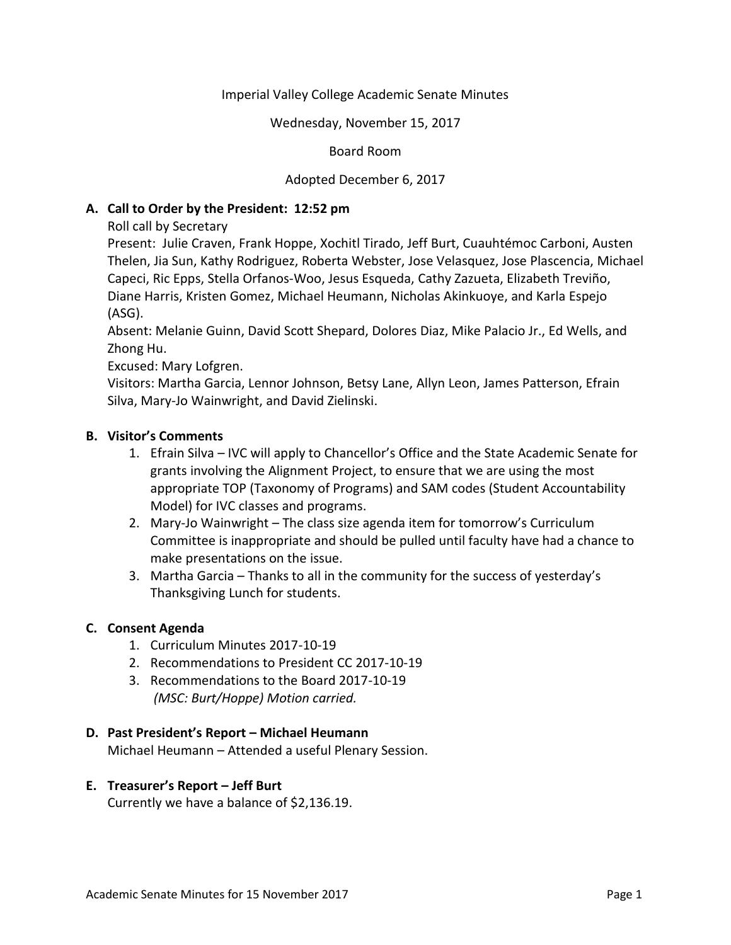# Imperial Valley College Academic Senate Minutes

Wednesday, November 15, 2017

## Board Room

# Adopted December 6, 2017

# **A. Call to Order by the President: 12:52 pm**

Roll call by Secretary

Present: Julie Craven, Frank Hoppe, Xochitl Tirado, Jeff Burt, Cuauhtémoc Carboni, Austen Thelen, Jia Sun, Kathy Rodriguez, Roberta Webster, Jose Velasquez, Jose Plascencia, Michael Capeci, Ric Epps, Stella Orfanos-Woo, Jesus Esqueda, Cathy Zazueta, Elizabeth Treviño, Diane Harris, Kristen Gomez, Michael Heumann, Nicholas Akinkuoye, and Karla Espejo (ASG).

Absent: Melanie Guinn, David Scott Shepard, Dolores Diaz, Mike Palacio Jr., Ed Wells, and Zhong Hu.

Excused: Mary Lofgren.

Visitors: Martha Garcia, Lennor Johnson, Betsy Lane, Allyn Leon, James Patterson, Efrain Silva, Mary-Jo Wainwright, and David Zielinski.

## **B. Visitor's Comments**

- 1. Efrain Silva IVC will apply to Chancellor's Office and the State Academic Senate for grants involving the Alignment Project, to ensure that we are using the most appropriate TOP (Taxonomy of Programs) and SAM codes (Student Accountability Model) for IVC classes and programs.
- 2. Mary-Jo Wainwright The class size agenda item for tomorrow's Curriculum Committee is inappropriate and should be pulled until faculty have had a chance to make presentations on the issue.
- 3. Martha Garcia Thanks to all in the community for the success of yesterday's Thanksgiving Lunch for students.

# **C. Consent Agenda**

- 1. Curriculum Minutes 2017-10-19
- 2. Recommendations to President CC 2017-10-19
- 3. Recommendations to the Board 2017-10-19 *(MSC: Burt/Hoppe) Motion carried.*

#### **D. Past President's Report – Michael Heumann**

Michael Heumann – Attended a useful Plenary Session.

#### **E. Treasurer's Report – Jeff Burt**

Currently we have a balance of \$2,136.19.